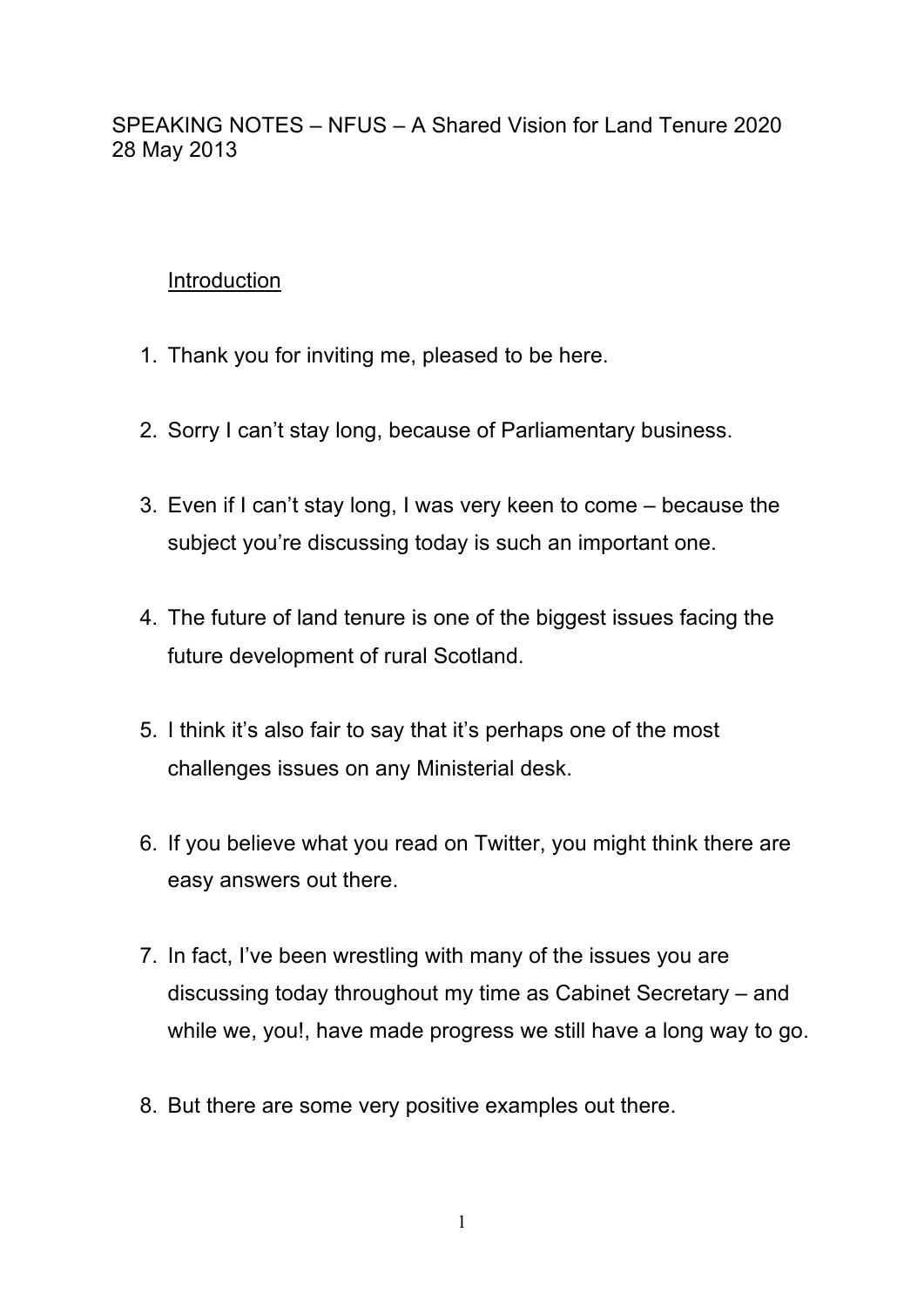SPEAKING NOTES – NFUS – A Shared Vision for Land Tenure 2020 28 May 2013

## **Introduction**

- 1. Thank you for inviting me, pleased to be here.
- 2. Sorry I can't stay long, because of Parliamentary business.
- 3. Even if I can't stay long, I was very keen to come because the subject you're discussing today is such an important one.
- 4. The future of land tenure is one of the biggest issues facing the future development of rural Scotland.
- 5. I think it's also fair to say that it's perhaps one of the most challenges issues on any Ministerial desk.
- 6. If you believe what you read on Twitter, you might think there are easy answers out there.
- 7. In fact, I've been wrestling with many of the issues you are discussing today throughout my time as Cabinet Secretary – and while we, you!, have made progress we still have a long way to go.
- 8. But there are some very positive examples out there.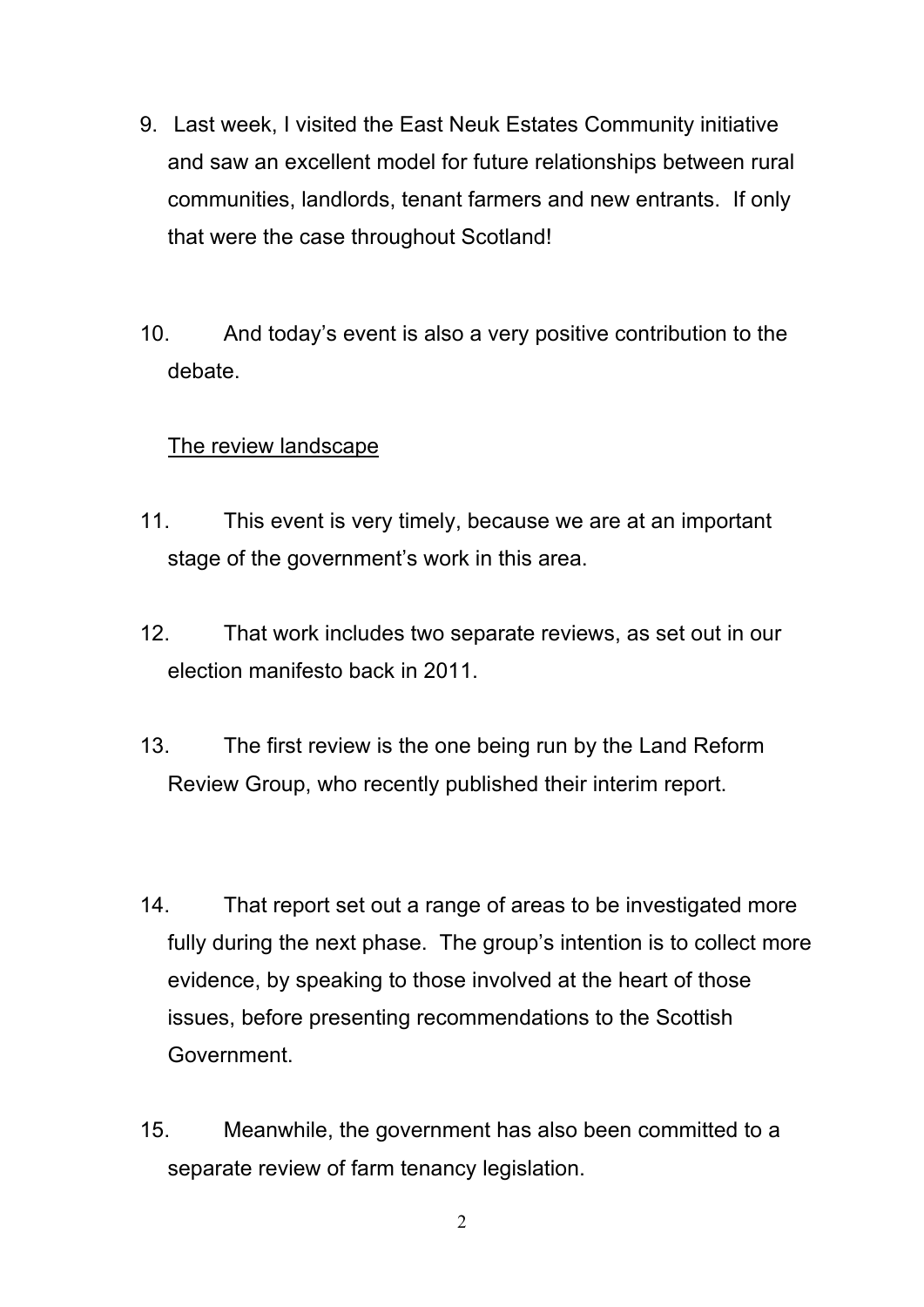- 9. Last week, I visited the East Neuk Estates Community initiative and saw an excellent model for future relationships between rural communities, landlords, tenant farmers and new entrants. If only that were the case throughout Scotland!
- 10. And today's event is also a very positive contribution to the debate.

# The review landscape

- 11. This event is very timely, because we are at an important stage of the government's work in this area.
- 12. That work includes two separate reviews, as set out in our election manifesto back in 2011.
- 13. The first review is the one being run by the Land Reform Review Group, who recently published their interim report.
- 14. That report set out a range of areas to be investigated more fully during the next phase. The group's intention is to collect more evidence, by speaking to those involved at the heart of those issues, before presenting recommendations to the Scottish Government.
- 15. Meanwhile, the government has also been committed to a separate review of farm tenancy legislation.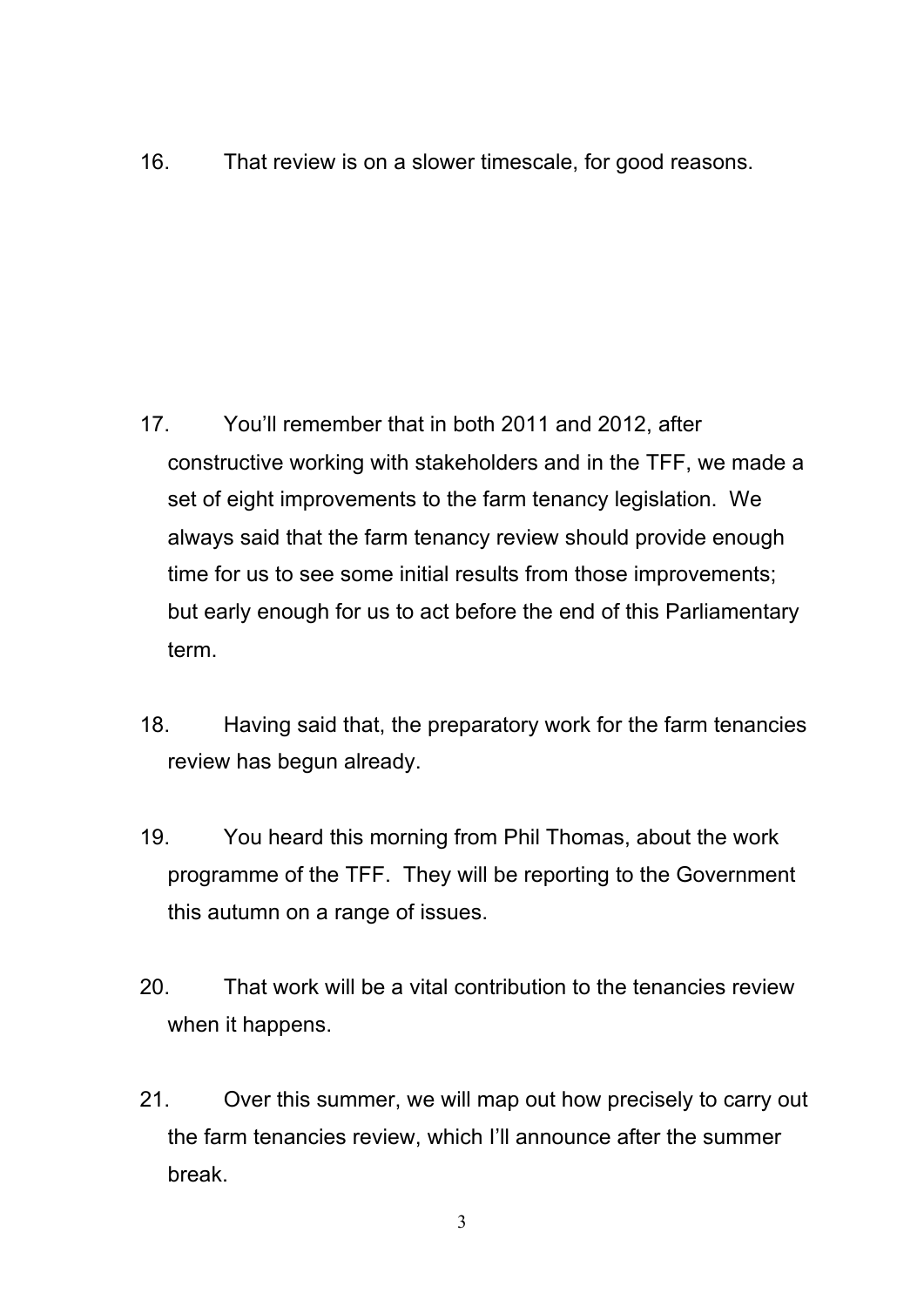16. That review is on a slower timescale, for good reasons.

- 17. You'll remember that in both 2011 and 2012, after constructive working with stakeholders and in the TFF, we made a set of eight improvements to the farm tenancy legislation. We always said that the farm tenancy review should provide enough time for us to see some initial results from those improvements; but early enough for us to act before the end of this Parliamentary term.
- 18. Having said that, the preparatory work for the farm tenancies review has begun already.
- 19. You heard this morning from Phil Thomas, about the work programme of the TFF. They will be reporting to the Government this autumn on a range of issues.
- 20. That work will be a vital contribution to the tenancies review when it happens.
- 21. Over this summer, we will map out how precisely to carry out the farm tenancies review, which I'll announce after the summer break.

3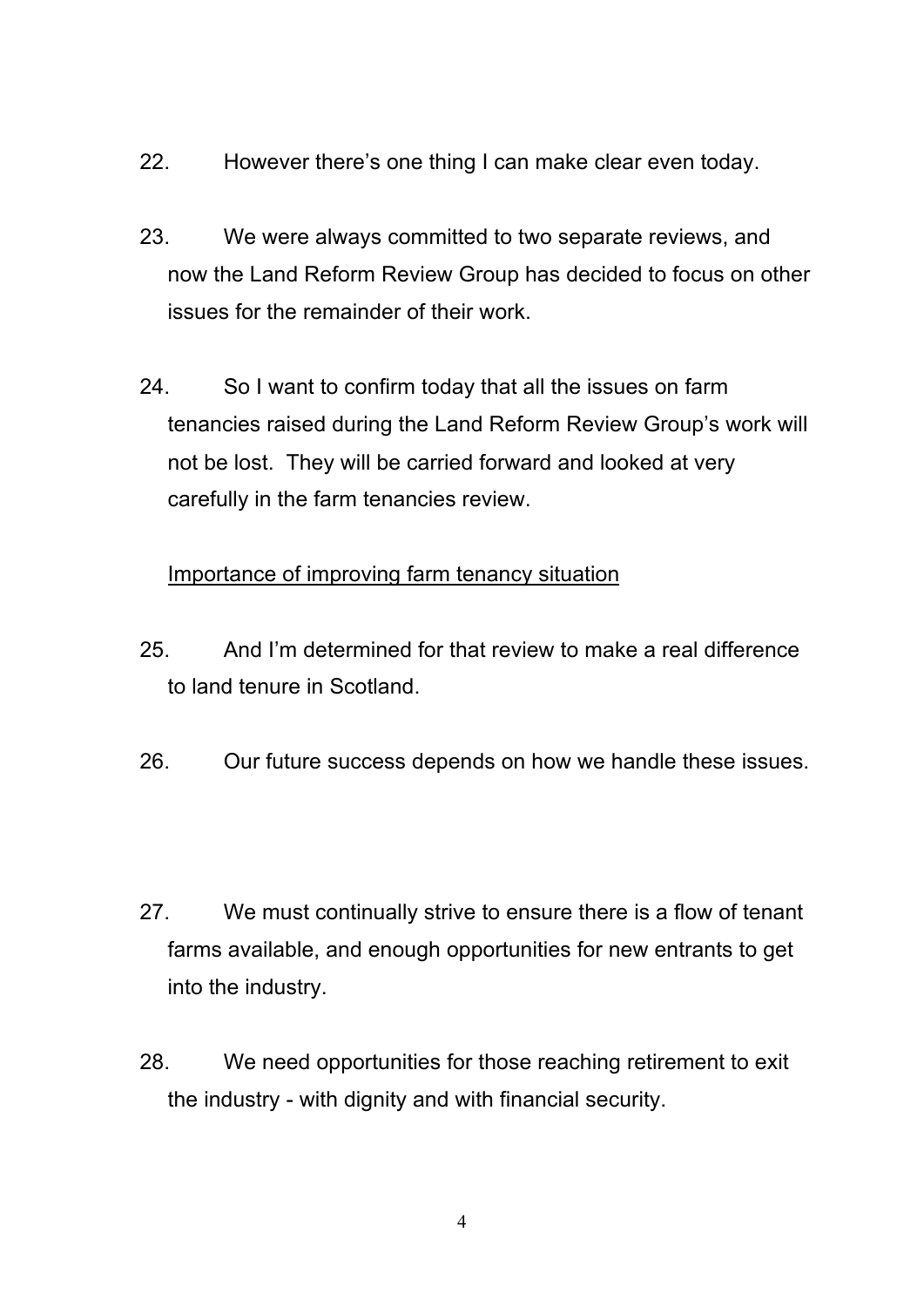- 22. However there's one thing I can make clear even today.
- 23. We were always committed to two separate reviews, and now the Land Reform Review Group has decided to focus on other issues for the remainder of their work.
- 24. So I want to confirm today that all the issues on farm tenancies raised during the Land Reform Review Group's work will not be lost. They will be carried forward and looked at very carefully in the farm tenancies review.

# Importance of improving farm tenancy situation

- 25. And I'm determined for that review to make a real difference to land tenure in Scotland.
- 26. Our future success depends on how we handle these issues.
- 27. We must continually strive to ensure there is a flow of tenant farms available, and enough opportunities for new entrants to get into the industry.
- 28. We need opportunities for those reaching retirement to exit the industry - with dignity and with financial security.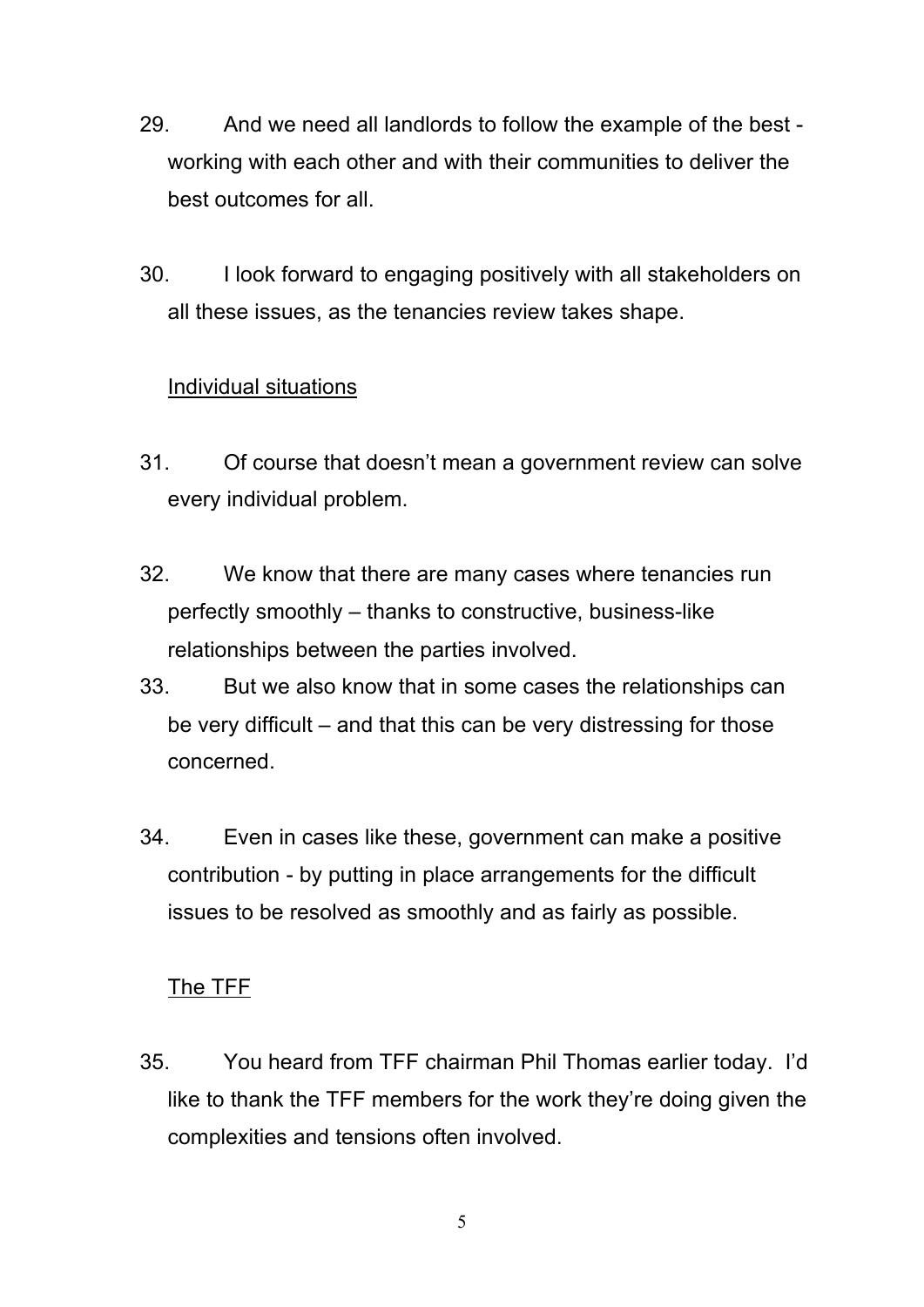- 29. And we need all landlords to follow the example of the best working with each other and with their communities to deliver the best outcomes for all.
- 30. I look forward to engaging positively with all stakeholders on all these issues, as the tenancies review takes shape.

# Individual situations

- 31. Of course that doesn't mean a government review can solve every individual problem.
- 32. We know that there are many cases where tenancies run perfectly smoothly – thanks to constructive, business-like relationships between the parties involved.
- 33. But we also know that in some cases the relationships can be very difficult – and that this can be very distressing for those concerned.
- 34. Even in cases like these, government can make a positive contribution - by putting in place arrangements for the difficult issues to be resolved as smoothly and as fairly as possible.

# The TFF

35. You heard from TFF chairman Phil Thomas earlier today. I'd like to thank the TFF members for the work they're doing given the complexities and tensions often involved.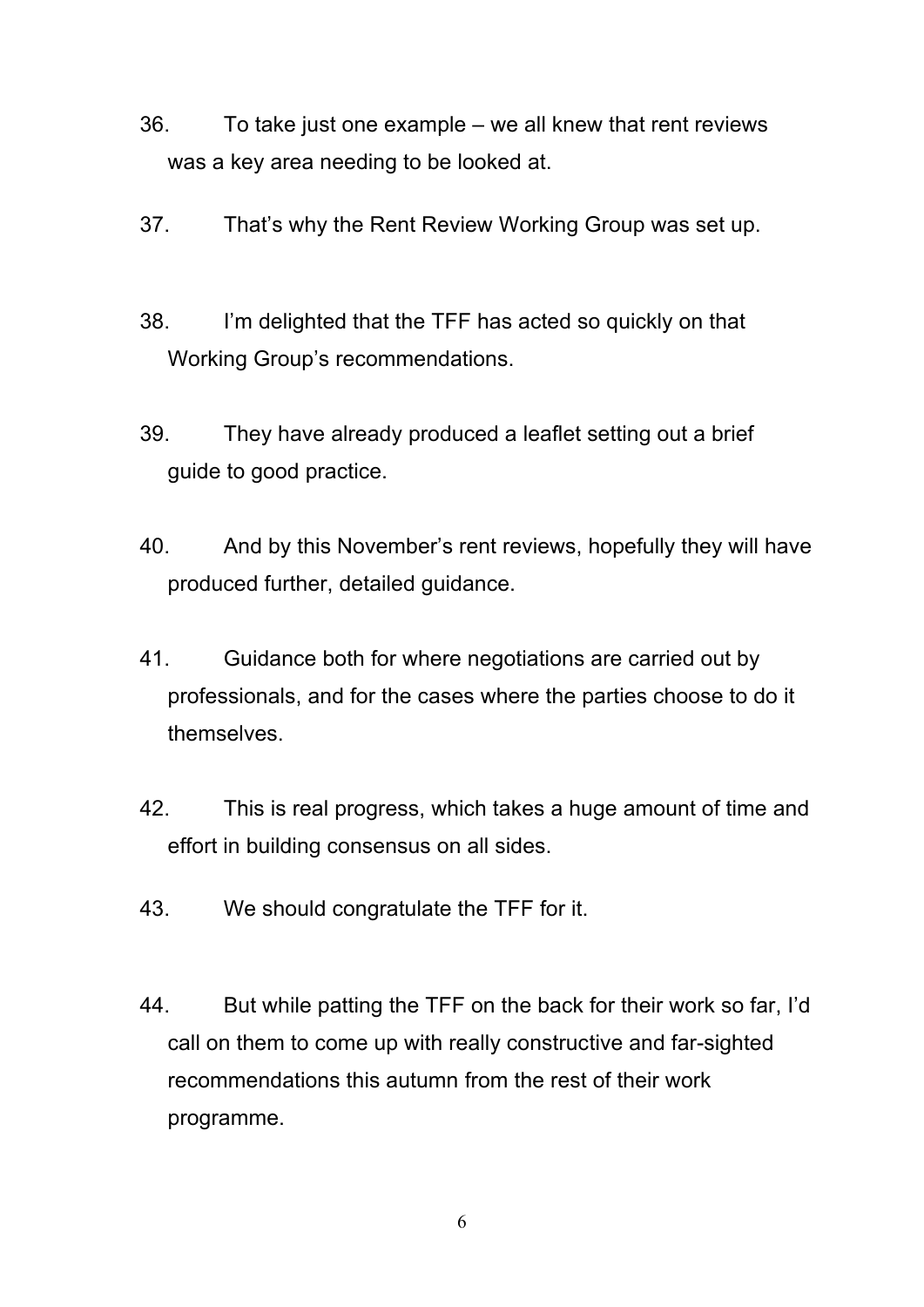- 36. To take just one example we all knew that rent reviews was a key area needing to be looked at.
- 37. That's why the Rent Review Working Group was set up.
- 38. I'm delighted that the TFF has acted so quickly on that Working Group's recommendations.
- 39. They have already produced a leaflet setting out a brief guide to good practice.
- 40. And by this November's rent reviews, hopefully they will have produced further, detailed guidance.
- 41. Guidance both for where negotiations are carried out by professionals, and for the cases where the parties choose to do it themselves.
- 42. This is real progress, which takes a huge amount of time and effort in building consensus on all sides.
- 43. We should congratulate the TFF for it.
- 44. But while patting the TFF on the back for their work so far, I'd call on them to come up with really constructive and far-sighted recommendations this autumn from the rest of their work programme.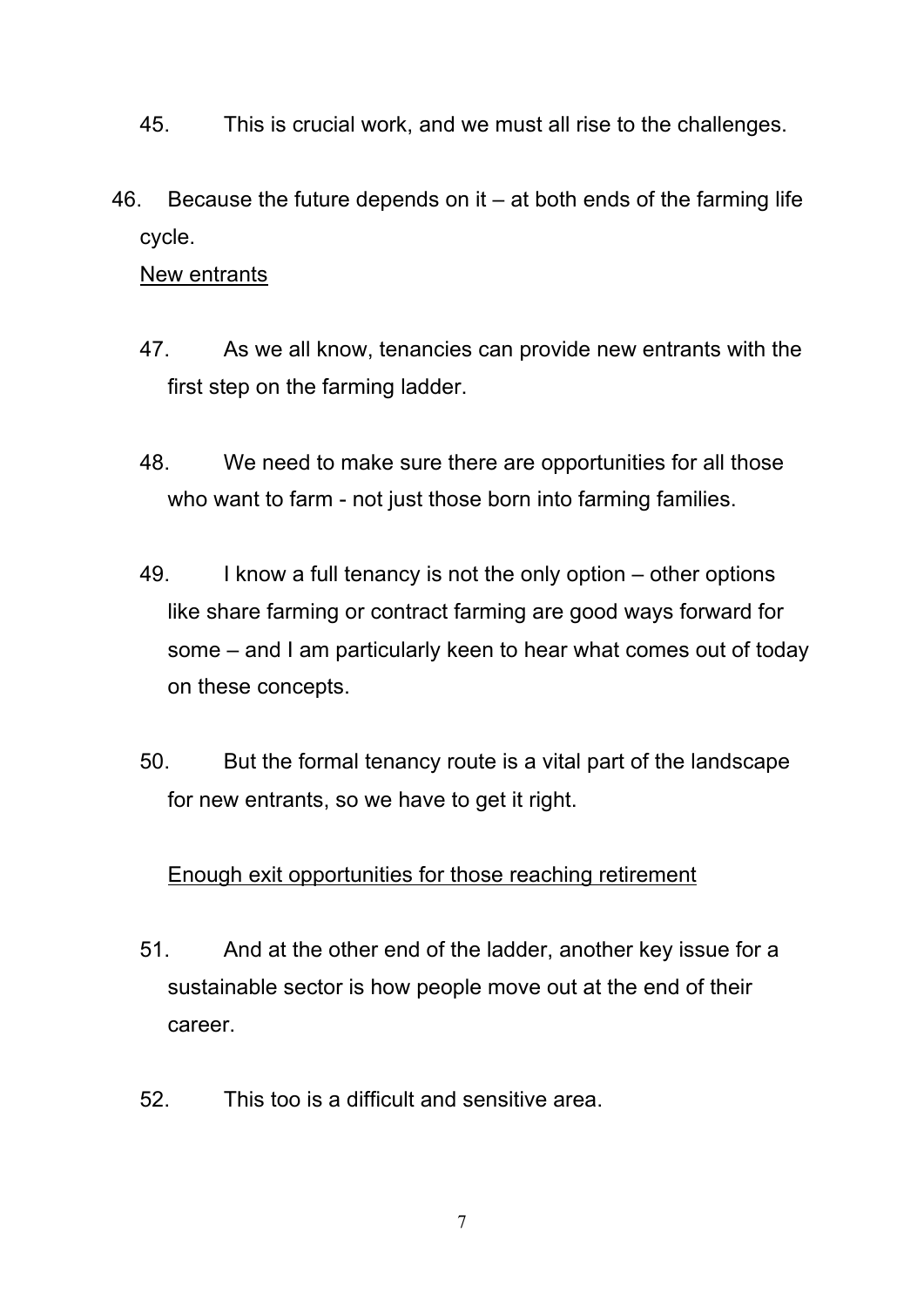- 45. This is crucial work, and we must all rise to the challenges.
- 46. Because the future depends on it  $-$  at both ends of the farming life cycle.

#### New entrants

- 47. As we all know, tenancies can provide new entrants with the first step on the farming ladder.
- 48. We need to make sure there are opportunities for all those who want to farm - not just those born into farming families.
- 49. I know a full tenancy is not the only option other options like share farming or contract farming are good ways forward for some – and I am particularly keen to hear what comes out of today on these concepts.
- 50. But the formal tenancy route is a vital part of the landscape for new entrants, so we have to get it right.

#### Enough exit opportunities for those reaching retirement

- 51. And at the other end of the ladder, another key issue for a sustainable sector is how people move out at the end of their career.
- 52. This too is a difficult and sensitive area.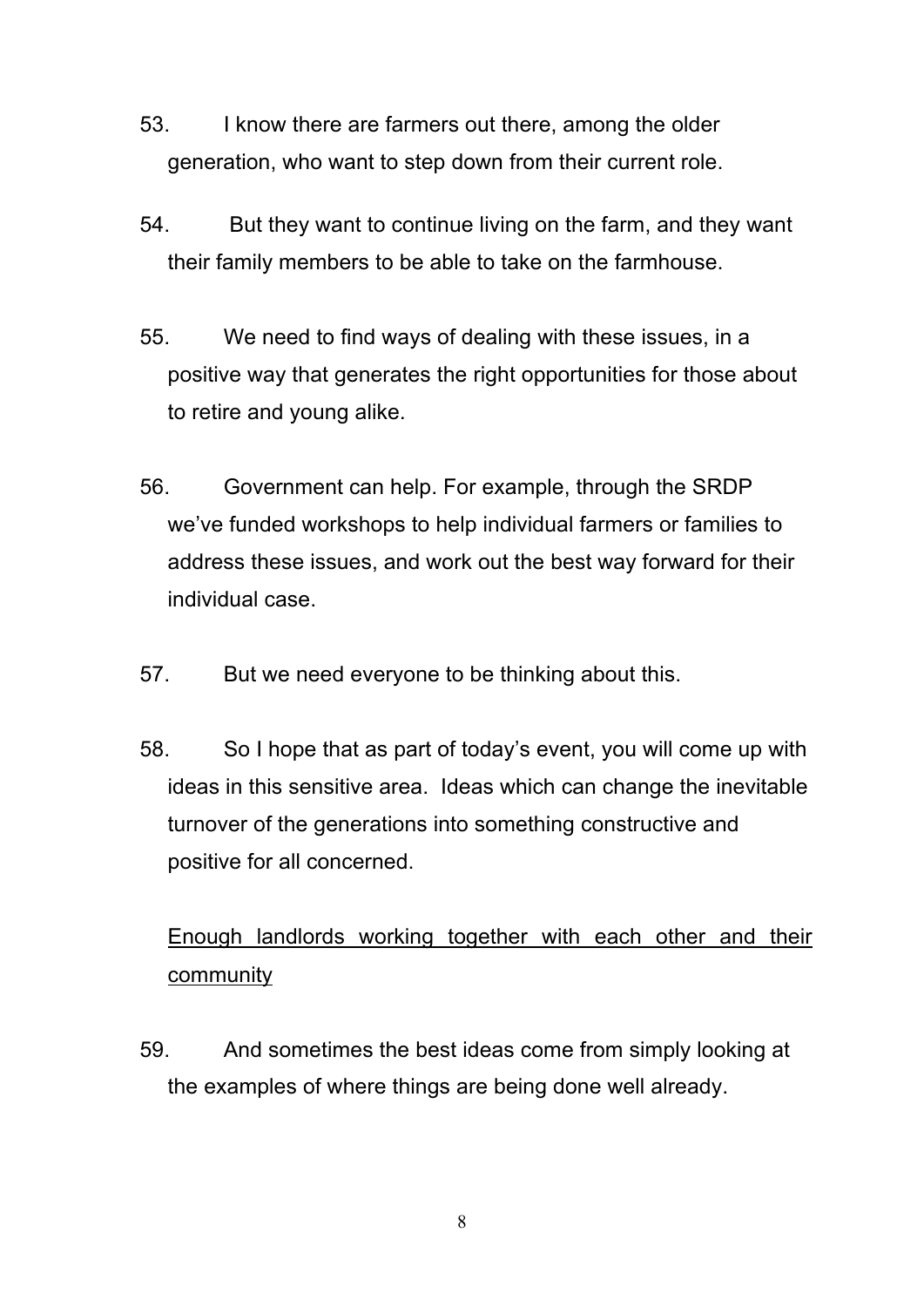- 53. I know there are farmers out there, among the older generation, who want to step down from their current role.
- 54. But they want to continue living on the farm, and they want their family members to be able to take on the farmhouse.
- 55. We need to find ways of dealing with these issues, in a positive way that generates the right opportunities for those about to retire and young alike.
- 56. Government can help. For example, through the SRDP we've funded workshops to help individual farmers or families to address these issues, and work out the best way forward for their individual case.
- 57. But we need everyone to be thinking about this.
- 58. So I hope that as part of today's event, you will come up with ideas in this sensitive area. Ideas which can change the inevitable turnover of the generations into something constructive and positive for all concerned.

# Enough landlords working together with each other and their community

59. And sometimes the best ideas come from simply looking at the examples of where things are being done well already.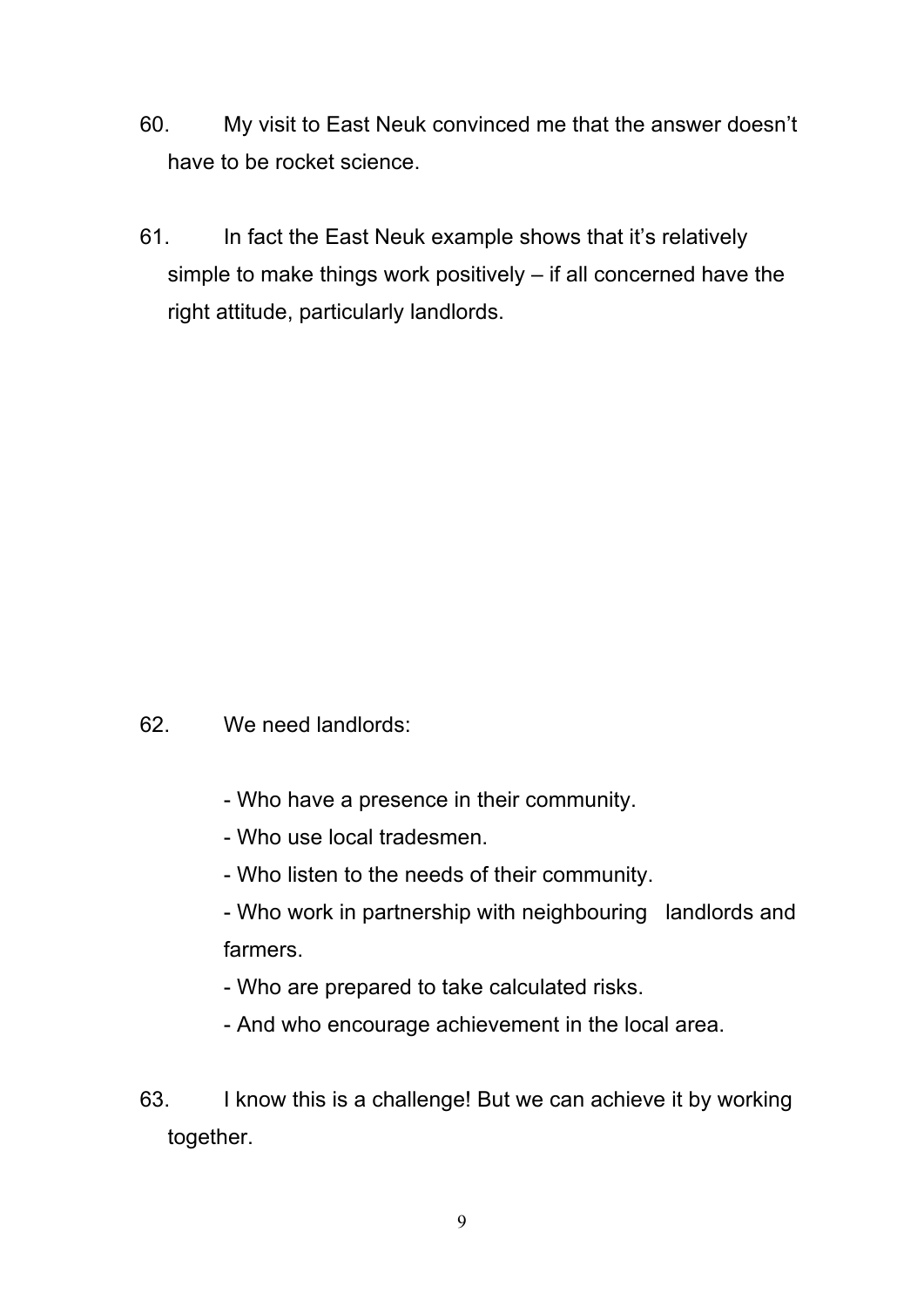- 60. My visit to East Neuk convinced me that the answer doesn't have to be rocket science.
- 61. In fact the East Neuk example shows that it's relatively simple to make things work positively – if all concerned have the right attitude, particularly landlords.

## 62. We need landlords:

- Who have a presence in their community.
- Who use local tradesmen.
- Who listen to the needs of their community.
- Who work in partnership with neighbouring landlords and farmers.
- Who are prepared to take calculated risks.
- And who encourage achievement in the local area.
- 63. I know this is a challenge! But we can achieve it by working together.